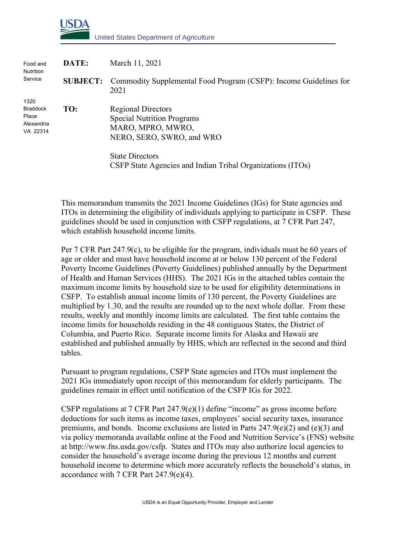

| Food and<br><b>Nutrition</b><br>Service                    | DATE: | March 11, 2021                                                                                                   |
|------------------------------------------------------------|-------|------------------------------------------------------------------------------------------------------------------|
|                                                            |       | <b>SUBJECT:</b> Commodity Supplemental Food Program (CSFP): Income Guidelines for<br>2021                        |
| 1320<br><b>Braddock</b><br>Place<br>Alexandria<br>VA 22314 | TO:   | <b>Regional Directors</b><br><b>Special Nutrition Programs</b><br>MARO, MPRO, MWRO,<br>NERO, SERO, SWRO, and WRO |
|                                                            |       | <b>State Directors</b><br>CSFP State Agencies and Indian Tribal Organizations (ITOs)                             |

This memorandum transmits the 2021 Income Guidelines (IGs) for State agencies and ITOs in determining the eligibility of individuals applying to participate in CSFP. These guidelines should be used in conjunction with CSFP regulations, at 7 CFR Part 247, which establish household income limits.

Per 7 CFR Part  $247.9(c)$ , to be eligible for the program, individuals must be 60 years of age or older and must have household income at or below 130 percent of the Federal Poverty Income Guidelines (Poverty Guidelines) published annually by the Department of Health and Human Services (HHS). The 2021 IGs in the attached tables contain the maximum income limits by household size to be used for eligibility determinations in CSFP. To establish annual income limits of 130 percent, the Poverty Guidelines are multiplied by 1.30, and the results are rounded up to the next whole dollar. From these results, weekly and monthly income limits are calculated. The first table contains the income limits for households residing in the 48 contiguous States, the District of Columbia, and Puerto Rico. Separate income limits for Alaska and Hawaii are established and published annually by HHS, which are reflected in the second and third tables.

Pursuant to program regulations, CSFP State agencies and ITOs must implement the 2021 IGs immediately upon receipt of this memorandum for elderly participants. The guidelines remain in effect until notification of the CSFP IGs for 2022.

CSFP regulations at 7 CFR Part  $247.9(e)(1)$  define "income" as gross income before deductions for such items as income taxes, employees' social security taxes, insurance premiums, and bonds. Income exclusions are listed in Parts  $247.9(e)(2)$  and  $(e)(3)$  and via policy memoranda available online at the Food and Nutrition Service's (FNS) website at http://www.fns.usda.gov/csfp. States and ITOs may also authorize local agencies to consider the household's average income during the previous 12 months and current household income to determine which more accurately reflects the household's status, in accordance with 7 CFR Part 247.9(e)(4).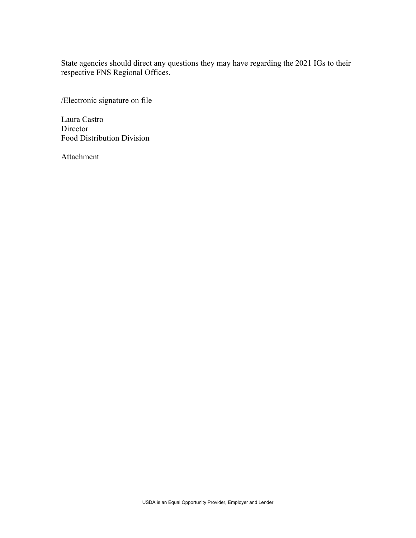State agencies should direct any questions they may have regarding the 2021 IGs to their respective FNS Regional Offices.

/Electronic signature on file

Laura Castro Director Food Distribution Division

Attachment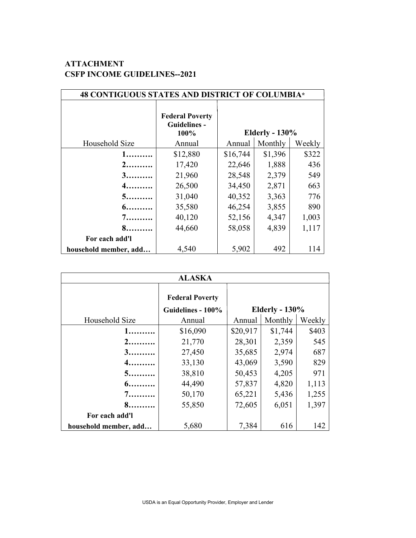## **ATTACHMENT CSFP INCOME GUIDELINES--2021**

| 48 CONTIGUOUS STATES AND DISTRICT OF COLUMBIA* |                                                       |          |                       |        |  |  |
|------------------------------------------------|-------------------------------------------------------|----------|-----------------------|--------|--|--|
|                                                | <b>Federal Poverty</b><br><b>Guidelines -</b><br>100% |          | <b>Elderly - 130%</b> |        |  |  |
| Household Size                                 | Annual                                                | Annual   | Monthly               | Weekly |  |  |
| 1.                                             | \$12,880                                              | \$16,744 | \$1,396               | \$322  |  |  |
|                                                | 17,420                                                | 22,646   | 1,888                 | 436    |  |  |
| 3.                                             | 21,960                                                | 28,548   | 2,379                 | 549    |  |  |
| 4.                                             | 26,500                                                | 34,450   | 2,871                 | 663    |  |  |
| $5$                                            | 31,040                                                | 40,352   | 3,363                 | 776    |  |  |
| $6 \ldots \ldots$                              | 35,580                                                | 46,254   | 3,855                 | 890    |  |  |
| 7.                                             | 40,120                                                | 52,156   | 4,347                 | 1,003  |  |  |
| 8.                                             | 44,660                                                | 58,058   | 4,839                 | 1,117  |  |  |
| For each add'l                                 |                                                       |          |                       |        |  |  |
| household member, add                          | 4,540                                                 | 5,902    | 492                   | 114    |  |  |

| <b>ALASKA</b>         |                                             |                       |         |        |  |  |  |
|-----------------------|---------------------------------------------|-----------------------|---------|--------|--|--|--|
|                       | <b>Federal Poverty</b><br>Guidelines - 100% | <b>Elderly - 130%</b> |         |        |  |  |  |
| Household Size        | Annual                                      | Annual                | Monthly | Weekly |  |  |  |
| 1.                    | \$16,090                                    | \$20,917              | \$1,744 | \$403  |  |  |  |
| 2.                    | 21,770                                      | 28,301                | 2,359   | 545    |  |  |  |
| 3.                    | 27,450                                      | 35,685                | 2,974   | 687    |  |  |  |
| $4$                   | 33,130                                      | 43,069                | 3,590   | 829    |  |  |  |
| $5$                   | 38,810                                      | 50,453                | 4,205   | 971    |  |  |  |
| 6.                    | 44,490                                      | 57,837                | 4,820   | 1,113  |  |  |  |
| $7$                   | 50,170                                      | 65,221                | 5,436   | 1,255  |  |  |  |
| 8.                    | 55,850                                      | 72,605                | 6,051   | 1,397  |  |  |  |
| For each add'l        |                                             |                       |         |        |  |  |  |
| household member, add | 5,680                                       | 7,384                 | 616     | 142    |  |  |  |